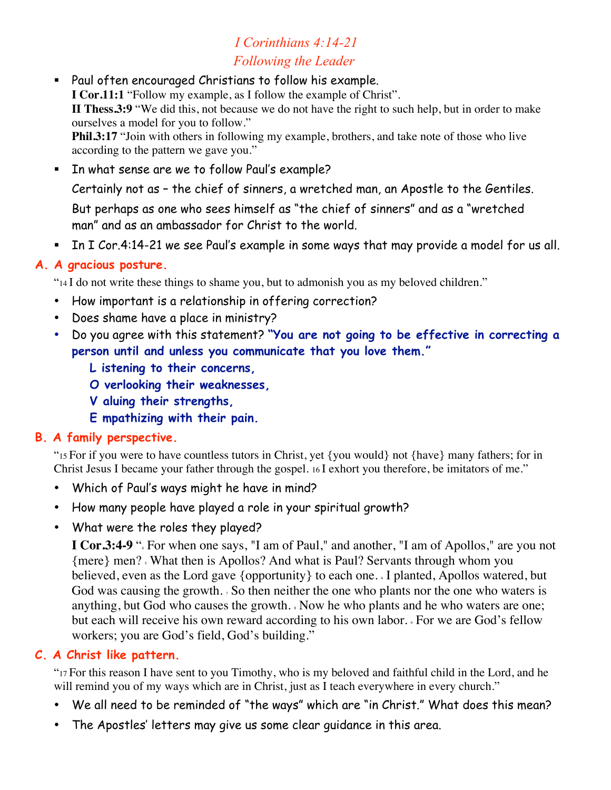# *I Corinthians 4:14-21 Following the Leader*

 Paul often encouraged Christians to follow his example. **I Cor.11:1** "Follow my example, as I follow the example of Christ". **II Thess.3:9** "We did this, not because we do not have the right to such help, but in order to make ourselves a model for you to follow." **Phil.3:17** "Join with others in following my example, brothers, and take note of those who live according to the pattern we gave you."

In what sense are we to follow Paul's example?

Certainly not as – the chief of sinners, a wretched man, an Apostle to the Gentiles.

But perhaps as one who sees himself as "the chief of sinners" and as a "wretched man" and as an ambassador for Christ to the world.

In I Cor.4:14-21 we see Paul's example in some ways that may provide a model for us all.

### **A. A gracious posture.**

"14 I do not write these things to shame you, but to admonish you as my beloved children."

- How important is a relationship in offering correction?
- Does shame have a place in ministry?
- Do you agree with this statement? **"You are not going to be effective in correcting a person until and unless you communicate that you love them."** 
	- **L istening to their concerns,**
	- **O verlooking their weaknesses,**
	- **V aluing their strengths,**
	- **E mpathizing with their pain.**

# **B. A family perspective.**

"15 For if you were to have countless tutors in Christ, yet {you would} not {have} many fathers; for in Christ Jesus I became your father through the gospel. 16 I exhort you therefore, be imitators of me."

- Which of Paul's ways might he have in mind?
- How many people have played a role in your spiritual growth?
- What were the roles they played?

**I Cor.3:4-9** ". For when one says, "I am of Paul," and another, "I am of Apollos," are you not {mere} men? 5 What then is Apollos? And what is Paul? Servants through whom you believed, even as the Lord gave {opportunity} to each one. I planted, Apollos watered, but God was causing the growth. 5 So then neither the one who plants nor the one who waters is anything, but God who causes the growth.  $\sqrt{ }$  Now he who plants and he who waters are one; but each will receive his own reward according to his own labor.  $\sqrt{2}$  For we are God's fellow workers; you are God's field, God's building."

# **C. A Christ like pattern.**

"17 For this reason I have sent to you Timothy, who is my beloved and faithful child in the Lord, and he will remind you of my ways which are in Christ, just as I teach everywhere in every church."

- We all need to be reminded of "the ways" which are "in Christ." What does this mean?
- The Apostles' letters may give us some clear guidance in this area.